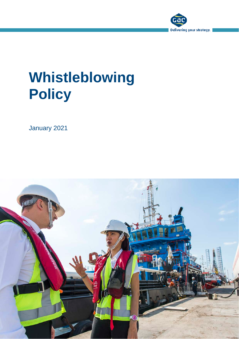

# **Whistleblowing Policy**

January 2021

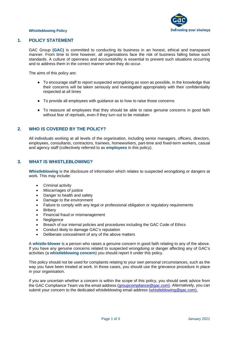

#### **Whistleblowing Policy**

#### **1. POLICY STATEMENT**

GAC Group **(GAC)** is committed to conducting its business in an honest, ethical and transparent manner. From time to time however, all organisations face the risk of business falling below such standards. A culture of openness and accountability is essential to prevent such situations occurring and to address them in the correct manner when they do occur.

The aims of this policy are:

- To encourage staff to report suspected wrongdoing as soon as possible, in the knowledge that their concerns will be taken seriously and investigated appropriately with their confidentiality respected at all times
- To provide all employees with guidance as to how to raise those concerns
- To reassure all employees that they should be able to raise genuine concerns in good faith without fear of reprisals, even if they turn out to be mistaken

## **2. WHO IS COVERED BY THE POLICY?**

All individuals working at all levels of the organisation, including senior managers, officers, directors, employees, consultants, contractors, trainees, homeworkers, part-time and fixed-term workers, casual and agency staff (collectively referred to as **employees** in this policy).

## **3. WHAT IS WHISTLEBLOWING?**

**Whistleblowing** is the disclosure of information which relates to suspected wrongdoing or dangers at work. This may include:

- Criminal activity
- Miscarriages of justice
- Danger to health and safety
- Damage to the environment
- Failure to comply with any legal or professional obligation or regulatory requirements
- Bribery
- Financial fraud or mismanagement
- Negligence
- Breach of our internal policies and procedures including the GAC Code of Ethics
- Conduct likely to damage GAC's reputation
- Deliberate concealment of any of the above matters

A **whistle-blower** is a person who raises a genuine concern in good faith relating to any of the above. If you have any genuine concerns related to suspected wrongdoing or danger affecting any of GAC's activities (a **whistleblowing concern**) you should report it under this policy.

This policy should not be used for complaints relating to your own personal circumstances, such as the way you have been treated at work. In those cases, you should use the grievance procedure in place in your organisation.

If you are uncertain whether a concern is within the scope of this policy, you should seek advice from the GAC Compliance Team via the email address [\(groupcompliance@gac.com\)](mailto:groupcompliance@gac.com). Alternatively, you can submit your concern to the dedicated whistleblowing email address [\(whistleblowing@gac.com\)](mailto:whistleblowing@gac.com).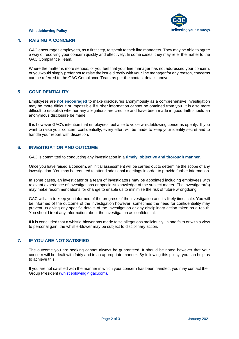

#### **Whistleblowing Policy**

# **4. RAISING A CONCERN**

GAC encourages employees, as a first step, to speak to their line managers. They may be able to agree a way of resolving your concern quickly and effectively. In some cases, they may refer the matter to the GAC Compliance Team.

Where the matter is more serious, or you feel that your line manager has not addressed your concern, or you would simply prefer not to raise the issue directly with your line manager for any reason, concerns can be referred to the GAC Compliance Team as per the contact details above.

# **5. CONFIDENTIALITY**

Employees are **not encouraged** to make disclosures anonymously as a comprehensive investigation may be more difficult or impossible if further information cannot be obtained from you. It is also more difficult to establish whether any allegations are credible and have been made in good faith should an anonymous disclosure be made.

It is however GAC's intention that employees feel able to voice whistleblowing concerns openly. If you want to raise your concern confidentially, every effort will be made to keep your identity secret and to handle your report with discretion.

# **6. INVESTIGATION AND OUTCOME**

GAC is committed to conducting any investigation in a **timely, objective and thorough manner**.

Once you have raised a concern, an initial assessment will be carried out to determine the scope of any investigation. You may be required to attend additional meetings in order to provide further information.

In some cases, an investigator or a team of investigators may be appointed including employees with relevant experience of investigations or specialist knowledge of the subject matter. The investigator(s) may make recommendations for change to enable us to minimise the risk of future wrongdoing.

GAC will aim to keep you informed of the progress of the investigation and its likely timescale. You will be informed of the outcome of the investigation however, sometimes the need for confidentiality may prevent us giving any specific details of the investigation or any disciplinary action taken as a result. You should treat any information about the investigation as confidential.

If it is concluded that a whistle-blower has made false allegations maliciously, in bad faith or with a view to personal gain, the whistle-blower may be subject to disciplinary action.

# **7. IF YOU ARE NOT SATISFIED**

The outcome you are seeking cannot always be guaranteed. It should be noted however that your concern will be dealt with fairly and in an appropriate manner. By following this policy, you can help us to achieve this.

If you are not satisfied with the manner in which your concern has been handled, you may contact the Group President [\(whistleblowing@gac.com\)](mailto:whistleblowing@gac.com).